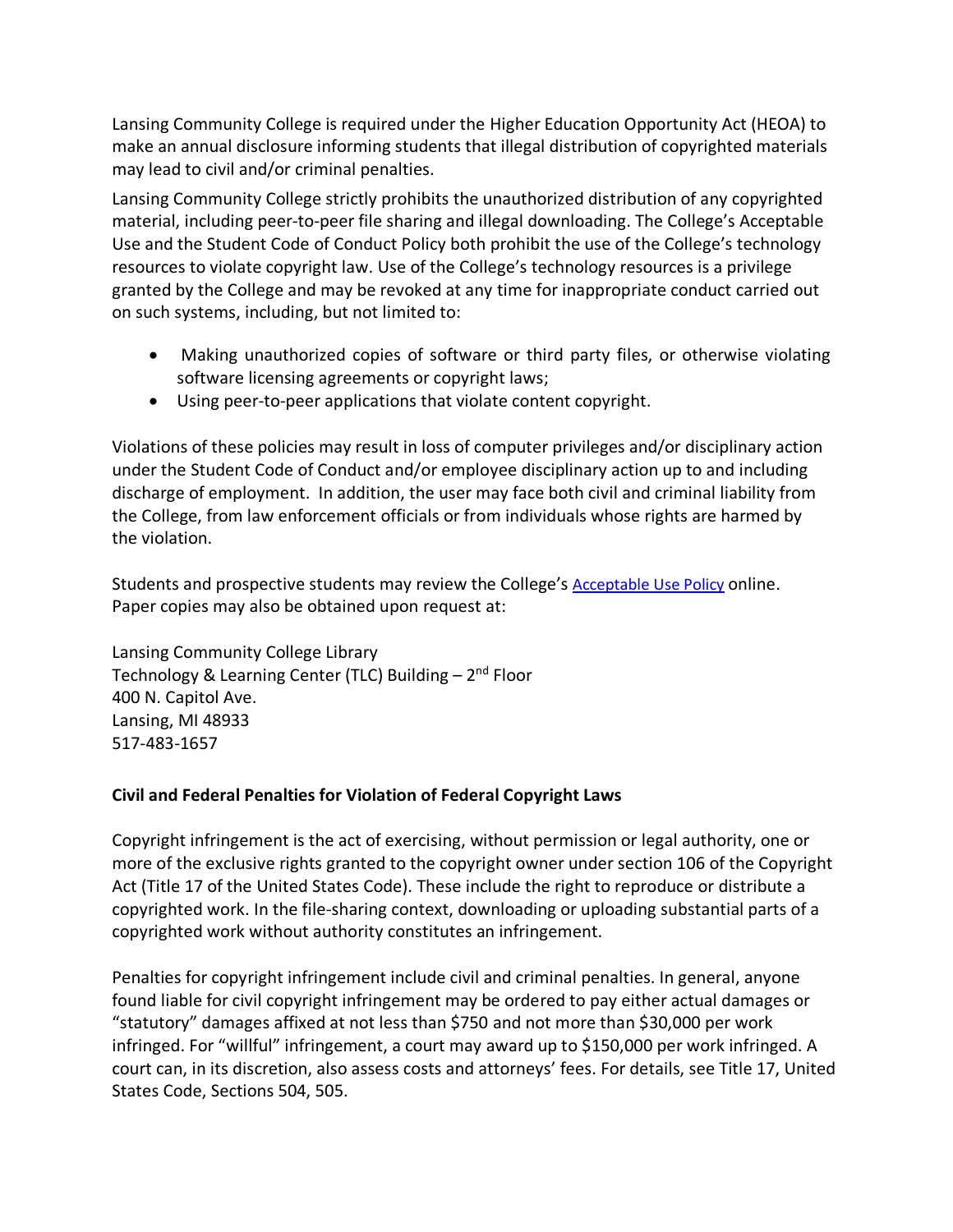Lansing Community College is required under the Higher Education Opportunity Act (HEOA) to make an annual disclosure informing students that illegal distribution of copyrighted materials may lead to civil and/or criminal penalties.

Lansing Community College strictly prohibits the unauthorized distribution of any copyrighted material, including peer-to-peer file sharing and illegal downloading. The College's Acceptable Use and the Student Code of Conduct Policy both prohibit the use of the College's technology resources to violate copyright law. Use of the College's technology resources is a privilege granted by the College and may be revoked at any time for inappropriate conduct carried out on such systems, including, but not limited to:

- Making unauthorized copies of software or third party files, or otherwise violating software licensing agreements or copyright laws;
- Using peer-to-peer applications that violate content copyright.

Violations of these policies may result in loss of computer privileges and/or disciplinary action under the Student Code of Conduct and/or employee disciplinary action up to and including discharge of employment. In addition, the user may face both civil and criminal liability from the College, from law enforcement officials or from individuals whose rights are harmed by the violation.

Students and prospective students may review the College's Acceptable Use Policy online. Paper copies may also be obtained upon request at:

Lansing Community College Library Technology & Learning Center (TLC) Building  $-2<sup>nd</sup>$  Floor 400 N. Capitol Ave. Lansing, MI 48933 517-483-1657

## **Civil and Federal Penalties for Violation of Federal Copyright Laws**

Copyright infringement is the act of exercising, without permission or legal authority, one or more of the exclusive rights granted to the copyright owner under section 106 of the Copyright Act (Title 17 of the United States Code). These include the right to reproduce or distribute a copyrighted work. In the file-sharing context, downloading or uploading substantial parts of a copyrighted work without authority constitutes an infringement.

Penalties for copyright infringement include civil and criminal penalties. In general, anyone found liable for civil copyright infringement may be ordered to pay either actual damages or "statutory" damages affixed at not less than \$750 and not more than \$30,000 per work infringed. For "willful" infringement, a court may award up to \$150,000 per work infringed. A court can, in its discretion, also assess costs and attorneys' fees. For details, see Title 17, United States Code, Sections 504, 505.